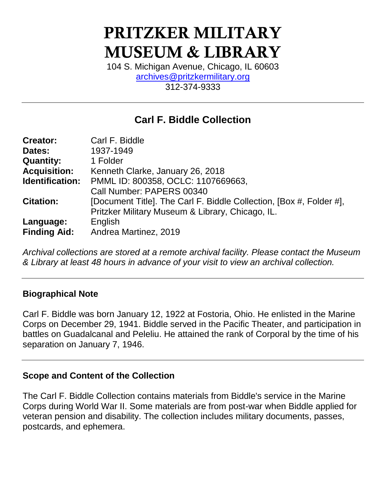# PRITZKER MILITARY MUSEUM & LIBRARY

104 S. Michigan Avenue, Chicago, IL 60603 [archives@pritzkermilitary.org](mailto:archives@pritzkermilitary.org) 312-374-9333

# **Carl F. Biddle Collection**

| <b>Creator:</b>     | Carl F. Biddle                                                      |
|---------------------|---------------------------------------------------------------------|
| Dates:              | 1937-1949                                                           |
| <b>Quantity:</b>    | 1 Folder                                                            |
| <b>Acquisition:</b> | Kenneth Clarke, January 26, 2018                                    |
| Identification:     | PMML ID: 800358, OCLC: 1107669663,                                  |
|                     | Call Number: PAPERS 00340                                           |
| <b>Citation:</b>    | [Document Title]. The Carl F. Biddle Collection, [Box #, Folder #], |
|                     | Pritzker Military Museum & Library, Chicago, IL.                    |
| Language:           | English                                                             |
| <b>Finding Aid:</b> | Andrea Martinez, 2019                                               |

*Archival collections are stored at a remote archival facility. Please contact the Museum & Library at least 48 hours in advance of your visit to view an archival collection.*

## **Biographical Note**

Carl F. Biddle was born January 12, 1922 at Fostoria, Ohio. He enlisted in the Marine Corps on December 29, 1941. Biddle served in the Pacific Theater, and participation in battles on Guadalcanal and Peleliu. He attained the rank of Corporal by the time of his separation on January 7, 1946.

#### **Scope and Content of the Collection**

The Carl F. Biddle Collection contains materials from Biddle's service in the Marine Corps during World War II. Some materials are from post-war when Biddle applied for veteran pension and disability. The collection includes military documents, passes, postcards, and ephemera.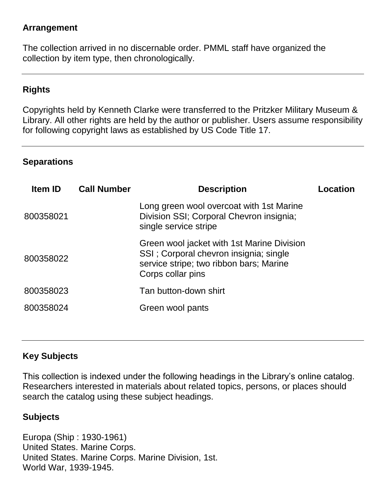#### **Arrangement**

The collection arrived in no discernable order. PMML staff have organized the collection by item type, then chronologically.

## **Rights**

Copyrights held by Kenneth Clarke were transferred to the Pritzker Military Museum & Library. All other rights are held by the author or publisher. Users assume responsibility for following copyright laws as established by US Code Title 17.

#### **Separations**

| <b>Item ID</b> | <b>Call Number</b> | <b>Description</b>                                                                                                                                   | Location |
|----------------|--------------------|------------------------------------------------------------------------------------------------------------------------------------------------------|----------|
| 800358021      |                    | Long green wool overcoat with 1st Marine<br>Division SSI; Corporal Chevron insignia;<br>single service stripe                                        |          |
| 800358022      |                    | Green wool jacket with 1st Marine Division<br>SSI; Corporal chevron insignia; single<br>service stripe; two ribbon bars; Marine<br>Corps collar pins |          |
| 800358023      |                    | Tan button-down shirt                                                                                                                                |          |
| 800358024      |                    | Green wool pants                                                                                                                                     |          |

## **Key Subjects**

This collection is indexed under the following headings in the Library's online catalog. Researchers interested in materials about related topics, persons, or places should search the catalog using these subject headings.

#### **Subjects**

Europa (Ship : 1930-1961) United States. Marine Corps. United States. Marine Corps. Marine Division, 1st. World War, 1939-1945.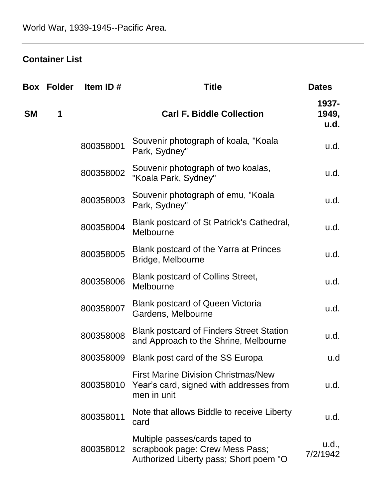## **Container List**

| Box       | <b>Folder</b> | Item ID#  | <b>Title</b>                                                                                                | <b>Dates</b>           |
|-----------|---------------|-----------|-------------------------------------------------------------------------------------------------------------|------------------------|
| <b>SM</b> | 1             |           | <b>Carl F. Biddle Collection</b>                                                                            | 1937-<br>1949,<br>u.d. |
|           |               | 800358001 | Souvenir photograph of koala, "Koala<br>Park, Sydney"                                                       | u.d.                   |
|           |               | 800358002 | Souvenir photograph of two koalas,<br>"Koala Park, Sydney"                                                  | u.d.                   |
|           |               | 800358003 | Souvenir photograph of emu, "Koala<br>Park, Sydney"                                                         | u.d.                   |
|           |               | 800358004 | Blank postcard of St Patrick's Cathedral,<br>Melbourne                                                      | u.d.                   |
|           |               | 800358005 | Blank postcard of the Yarra at Princes<br>Bridge, Melbourne                                                 | u.d.                   |
|           |               | 800358006 | <b>Blank postcard of Collins Street,</b><br>Melbourne                                                       | u.d.                   |
|           |               | 800358007 | <b>Blank postcard of Queen Victoria</b><br>Gardens, Melbourne                                               | u.d.                   |
|           |               | 800358008 | <b>Blank postcard of Finders Street Station</b><br>and Approach to the Shrine, Melbourne                    | u.d.                   |
|           |               | 800358009 | Blank post card of the SS Europa                                                                            | u.d                    |
|           |               | 800358010 | <b>First Marine Division Christmas/New</b><br>Year's card, signed with addresses from<br>men in unit        | u.d.                   |
|           |               | 800358011 | Note that allows Biddle to receive Liberty<br>card                                                          | u.d.                   |
|           |               | 800358012 | Multiple passes/cards taped to<br>scrapbook page: Crew Mess Pass;<br>Authorized Liberty pass; Short poem "O | u.d.,<br>7/2/1942      |